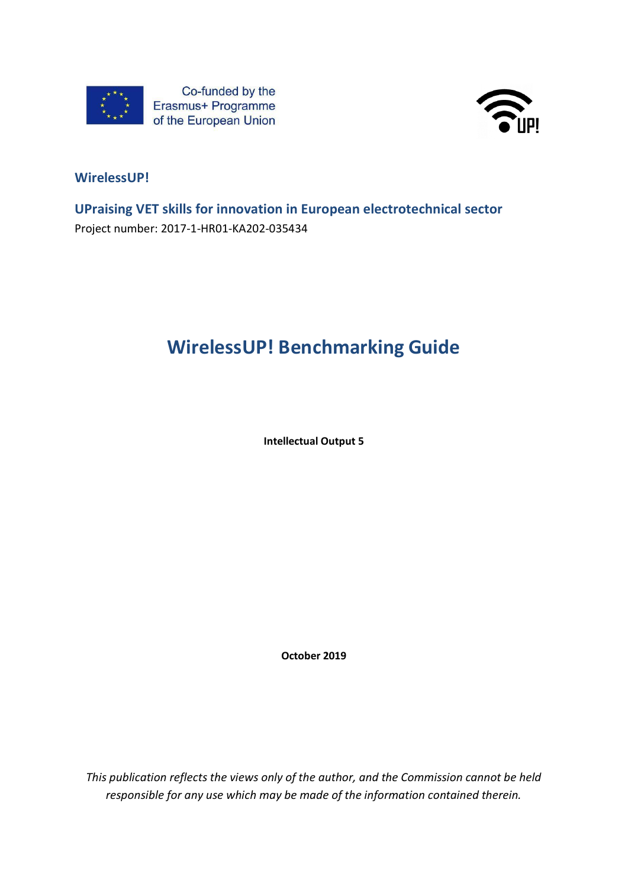



# **WirelessUP!**

**UPraising VET skills for innovation in European electrotechnical sector** Project number: 2017-1-HR01-KA202-035434

# **WirelessUP! Benchmarking Guide**

**Intellectual Output 5**

**October 2019**

*This publication reflects the views only of the author, and the Commission cannot be held responsible for any use which may be made of the information contained therein.*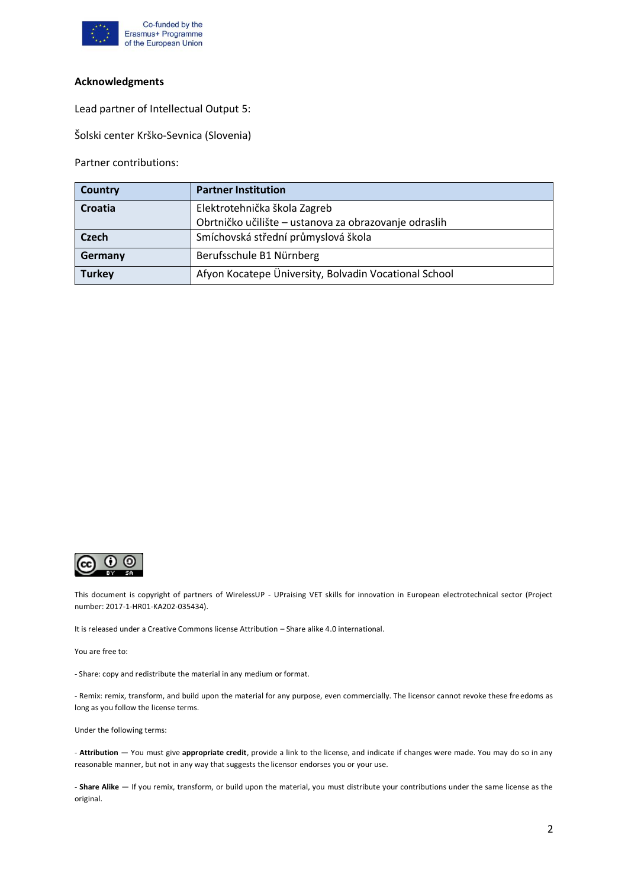

#### **Acknowledgments**

Lead partner of Intellectual Output 5:

Šolski center Krško-Sevnica (Slovenia)

Partner contributions:

| <b>Country</b> | <b>Partner Institution</b>                            |
|----------------|-------------------------------------------------------|
| Croatia        | Elektrotehnička škola Zagreb                          |
|                | Obrtničko učilište - ustanova za obrazovanje odraslih |
| Czech          | Smíchovská střední průmyslová škola                   |
| Germany        | Berufsschule B1 Nürnberg                              |
| <b>Turkey</b>  | Afyon Kocatepe Üniversity, Bolvadin Vocational School |



This document is copyright of partners of WirelessUP - UPraising VET skills for innovation in European electrotechnical sector (Project number: 2017-1-HR01-KA202-035434).

It is released under a Creative Commons license Attribution – Share alike 4.0 international.

You are free to:

- Share: copy and redistribute the material in any medium or format.

- Remix: remix, transform, and build upon the material for any purpose, even commercially. The licensor cannot revoke these freedoms as long as you follow the license terms.

Under the following terms:

- **Attribution** — You must give **appropriate credit**, provide a link to the license, and indicate if changes were made. You may do so in any reasonable manner, but not in any way that suggests the licensor endorses you or your use.

- **Share Alike** — If you remix, transform, or build upon the material, you must distribute your contributions under the same license as the original.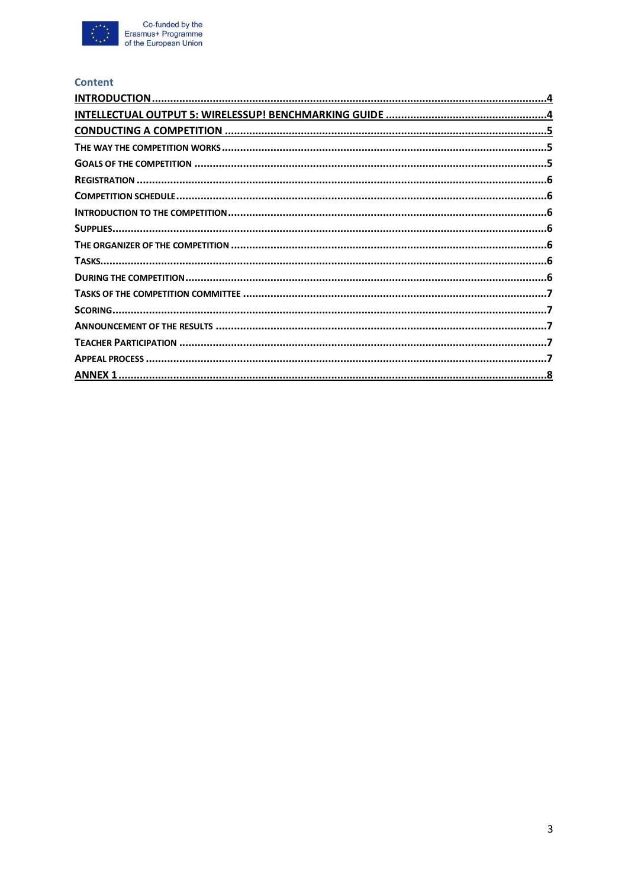

#### **Content**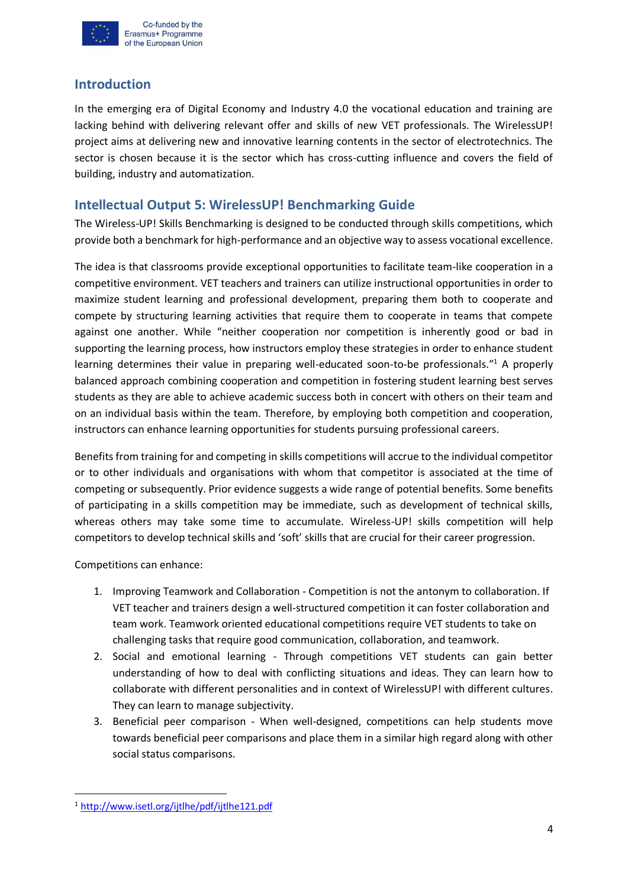

## <span id="page-3-0"></span>**Introduction**

In the emerging era of Digital Economy and Industry 4.0 the vocational education and training are lacking behind with delivering relevant offer and skills of new VET professionals. The WirelessUP! project aims at delivering new and innovative learning contents in the sector of electrotechnics. The sector is chosen because it is the sector which has cross-cutting influence and covers the field of building, industry and automatization.

## <span id="page-3-1"></span>**Intellectual Output 5: WirelessUP! Benchmarking Guide**

The Wireless-UP! Skills Benchmarking is designed to be conducted through skills competitions, which provide both a benchmark for high-performance and an objective way to assess vocational excellence.

The idea is that classrooms provide exceptional opportunities to facilitate team-like cooperation in a competitive environment. VET teachers and trainers can utilize instructional opportunities in order to maximize student learning and professional development, preparing them both to cooperate and compete by structuring learning activities that require them to cooperate in teams that compete against one another. While "neither cooperation nor competition is inherently good or bad in supporting the learning process, how instructors employ these strategies in order to enhance student learning determines their value in preparing well-educated soon-to-be professionals."<sup>1</sup> A properly balanced approach combining cooperation and competition in fostering student learning best serves students as they are able to achieve academic success both in concert with others on their team and on an individual basis within the team. Therefore, by employing both competition and cooperation, instructors can enhance learning opportunities for students pursuing professional careers.

Benefits from training for and competing in skills competitions will accrue to the individual competitor or to other individuals and organisations with whom that competitor is associated at the time of competing or subsequently. Prior evidence suggests a wide range of potential benefits. Some benefits of participating in a skills competition may be immediate, such as development of technical skills, whereas others may take some time to accumulate. Wireless-UP! skills competition will help competitors to develop technical skills and 'soft' skills that are crucial for their career progression.

Competitions can enhance:

- 1. Improving Teamwork and Collaboration Competition is not the antonym to collaboration. If VET teacher and trainers design a well-structured competition it can foster collaboration and team work. Teamwork oriented educational competitions require VET students to take on challenging tasks that require good communication, collaboration, and teamwork.
- 2. Social and emotional learning Through competitions VET students can gain better understanding of how to deal with conflicting situations and ideas. They can learn how to collaborate with different personalities and in context of WirelessUP! with different cultures. They can learn to manage subjectivity.
- 3. Beneficial peer comparison When well-designed, competitions can help students move towards beneficial peer comparisons and place them in a similar high regard along with other social status comparisons.

<sup>1</sup> <http://www.isetl.org/ijtlhe/pdf/ijtlhe121.pdf>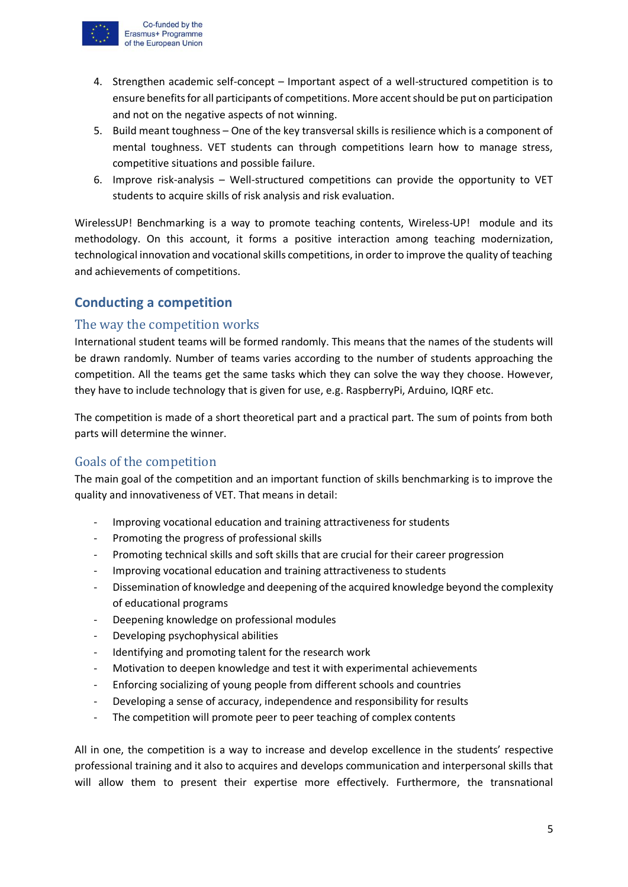

- 4. Strengthen academic self-concept Important aspect of a well-structured competition is to ensure benefits for all participants of competitions. More accent should be put on participation and not on the negative aspects of not winning.
- 5. Build meant toughness One of the key transversal skills is resilience which is a component of mental toughness. VET students can through competitions learn how to manage stress, competitive situations and possible failure.
- 6. Improve risk-analysis Well-structured competitions can provide the opportunity to VET students to acquire skills of risk analysis and risk evaluation.

WirelessUP! Benchmarking is a way to promote teaching contents, Wireless-UP! module and its methodology. On this account, it forms a positive interaction among teaching modernization, technological innovation and vocational skills competitions, in order to improve the quality of teaching and achievements of competitions.

# <span id="page-4-0"></span>**Conducting a competition**

## <span id="page-4-1"></span>The way the competition works

International student teams will be formed randomly. This means that the names of the students will be drawn randomly. Number of teams varies according to the number of students approaching the competition. All the teams get the same tasks which they can solve the way they choose. However, they have to include technology that is given for use, e.g. RaspberryPi, Arduino, IQRF etc.

The competition is made of a short theoretical part and a practical part. The sum of points from both parts will determine the winner.

#### <span id="page-4-2"></span>Goals of the competition

The main goal of the competition and an important function of skills benchmarking is to improve the quality and innovativeness of VET. That means in detail:

- Improving vocational education and training attractiveness for students
- Promoting the progress of professional skills
- Promoting technical skills and soft skills that are crucial for their career progression
- Improving vocational education and training attractiveness to students
- Dissemination of knowledge and deepening of the acquired knowledge beyond the complexity of educational programs
- Deepening knowledge on professional modules
- Developing psychophysical abilities
- Identifying and promoting talent for the research work
- Motivation to deepen knowledge and test it with experimental achievements
- Enforcing socializing of young people from different schools and countries
- Developing a sense of accuracy, independence and responsibility for results
- The competition will promote peer to peer teaching of complex contents

All in one, the competition is a way to increase and develop excellence in the students' respective professional training and it also to acquires and develops communication and interpersonal skills that will allow them to present their expertise more effectively. Furthermore, the transnational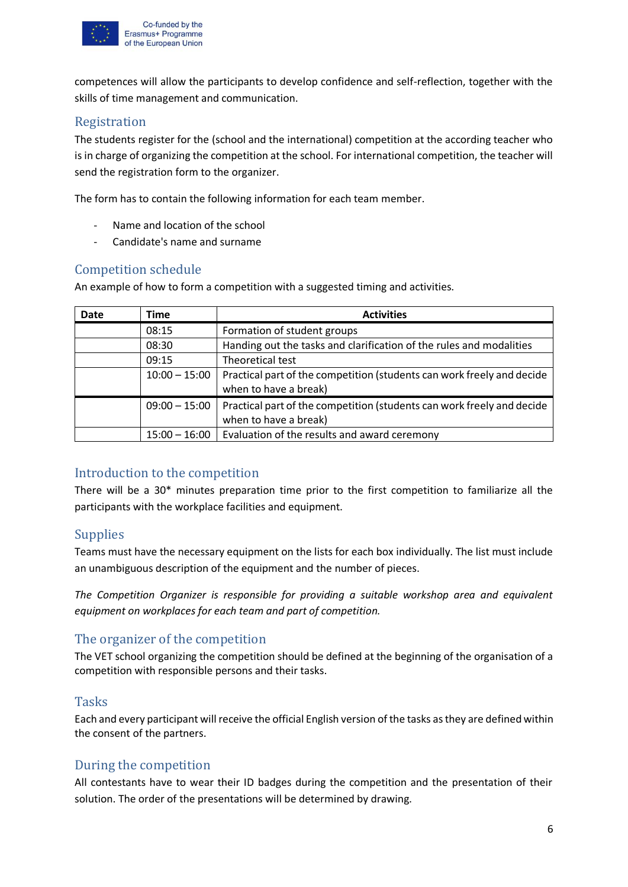

competences will allow the participants to develop confidence and self-reflection, together with the skills of time management and communication.

## <span id="page-5-0"></span>Registration

The students register for the (school and the international) competition at the according teacher who is in charge of organizing the competition at the school. For international competition, the teacher will send the registration form to the organizer.

The form has to contain the following information for each team member.

- Name and location of the school
- Candidate's name and surname

# <span id="page-5-1"></span>Competition schedule

An example of how to form a competition with a suggested timing and activities.

| <b>Date</b> | Time            | <b>Activities</b>                                                                               |
|-------------|-----------------|-------------------------------------------------------------------------------------------------|
|             | 08:15           | Formation of student groups                                                                     |
|             | 08:30           | Handing out the tasks and clarification of the rules and modalities                             |
|             | 09:15           | Theoretical test                                                                                |
|             | $10:00 - 15:00$ | Practical part of the competition (students can work freely and decide<br>when to have a break) |
|             | $09:00 - 15:00$ | Practical part of the competition (students can work freely and decide<br>when to have a break) |
|             | $15:00 - 16:00$ | Evaluation of the results and award ceremony                                                    |

#### <span id="page-5-2"></span>Introduction to the competition

There will be a 30\* minutes preparation time prior to the first competition to familiarize all the participants with the workplace facilities and equipment.

# <span id="page-5-3"></span>Supplies

Teams must have the necessary equipment on the lists for each box individually. The list must include an unambiguous description of the equipment and the number of pieces.

*The Competition Organizer is responsible for providing a suitable workshop area and equivalent equipment on workplaces for each team and part of competition.*

#### <span id="page-5-4"></span>The organizer of the competition

The VET school organizing the competition should be defined at the beginning of the organisation of a competition with responsible persons and their tasks.

#### <span id="page-5-5"></span>Tasks

Each and every participant will receive the official English version of the tasks as they are defined within the consent of the partners.

#### <span id="page-5-6"></span>During the competition

All contestants have to wear their ID badges during the competition and the presentation of their solution. The order of the presentations will be determined by drawing.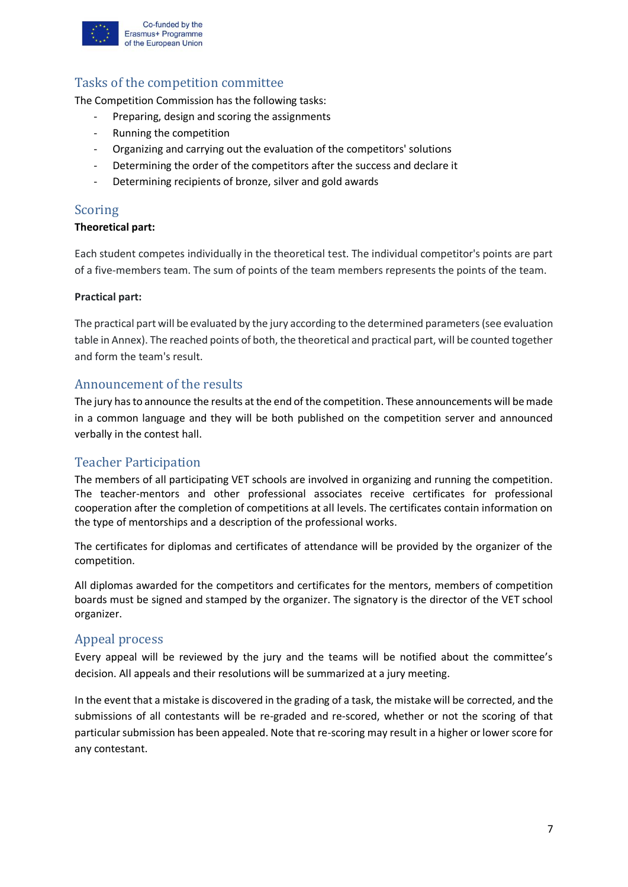

Co-funded by the Erasmus+ Programme of the European Union

# <span id="page-6-0"></span>Tasks of the competition committee

The Competition Commission has the following tasks:

- Preparing, design and scoring the assignments
- Running the competition
- Organizing and carrying out the evaluation of the competitors' solutions
- Determining the order of the competitors after the success and declare it
- Determining recipients of bronze, silver and gold awards

#### <span id="page-6-1"></span>Scoring

#### **Theoretical part:**

Each student competes individually in the theoretical test. The individual competitor's points are part of a five-members team. The sum of points of the team members represents the points of the team.

#### **Practical part:**

The practical part will be evaluated by the jury according to the determined parameters (see evaluation table in Annex). The reached points of both, the theoretical and practical part, will be counted together and form the team's result.

#### <span id="page-6-2"></span>Announcement of the results

The jury has to announce the results at the end of the competition. These announcements will be made in a common language and they will be both published on the competition server and announced verbally in the contest hall.

#### <span id="page-6-3"></span>Teacher Participation

The members of all participating VET schools are involved in organizing and running the competition. The teacher-mentors and other professional associates receive certificates for professional cooperation after the completion of competitions at all levels. The certificates contain information on the type of mentorships and a description of the professional works.

The certificates for diplomas and certificates of attendance will be provided by the organizer of the competition.

All diplomas awarded for the competitors and certificates for the mentors, members of competition boards must be signed and stamped by the organizer. The signatory is the director of the VET school organizer.

#### <span id="page-6-4"></span>Appeal process

Every appeal will be reviewed by the jury and the teams will be notified about the committee's decision. All appeals and their resolutions will be summarized at a jury meeting.

In the event that a mistake is discovered in the grading of a task, the mistake will be corrected, and the submissions of all contestants will be re-graded and re-scored, whether or not the scoring of that particular submission has been appealed. Note that re-scoring may result in a higher or lower score for any contestant.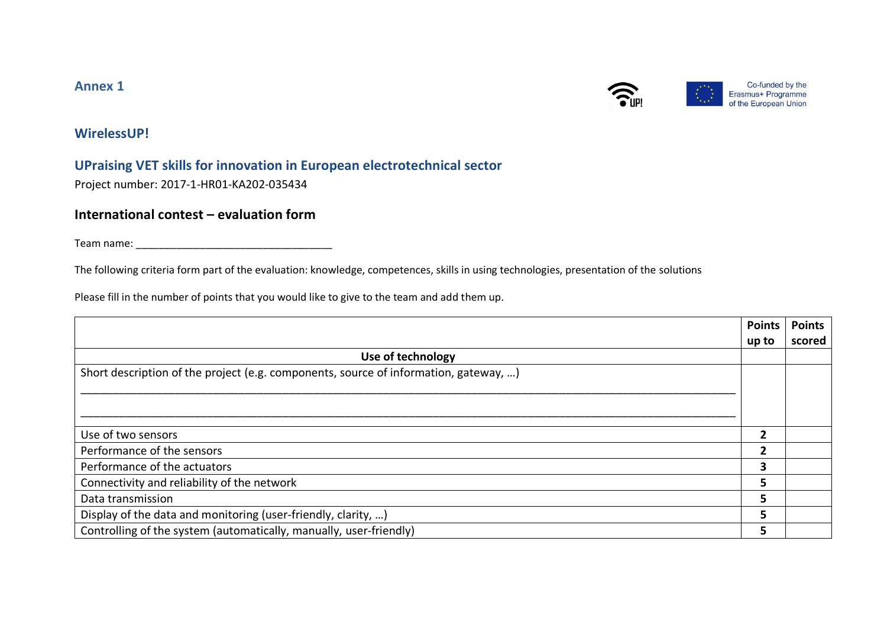## **Annex 1**



Co-funded by the Erasmus+ Programme of the European Union

# **WirelessUP!**

# **UPraising VET skills for innovation in European electrotechnical sector**

Project number: 2017-1-HR01-KA202-035434

# **International contest – evaluation form**

Team name: \_\_\_\_\_\_\_\_\_\_\_\_\_\_\_\_\_\_\_\_\_\_\_\_\_\_\_\_\_\_\_\_\_\_

The following criteria form part of the evaluation: knowledge, competences, skills in using technologies, presentation of the solutions

Please fill in the number of points that you would like to give to the team and add them up.

<span id="page-7-0"></span>

|                                                                                      | <b>Points</b> | <b>Points</b> |
|--------------------------------------------------------------------------------------|---------------|---------------|
|                                                                                      | up to         | scored        |
| Use of technology                                                                    |               |               |
| Short description of the project (e.g. components, source of information, gateway, ) |               |               |
|                                                                                      |               |               |
|                                                                                      |               |               |
|                                                                                      |               |               |
| Use of two sensors                                                                   | 2             |               |
| Performance of the sensors                                                           | $\mathbf{2}$  |               |
| Performance of the actuators                                                         | 3             |               |
| Connectivity and reliability of the network                                          | 5             |               |
| Data transmission                                                                    | 5             |               |
| Display of the data and monitoring (user-friendly, clarity, )                        | 5             |               |
| Controlling of the system (automatically, manually, user-friendly)                   |               |               |